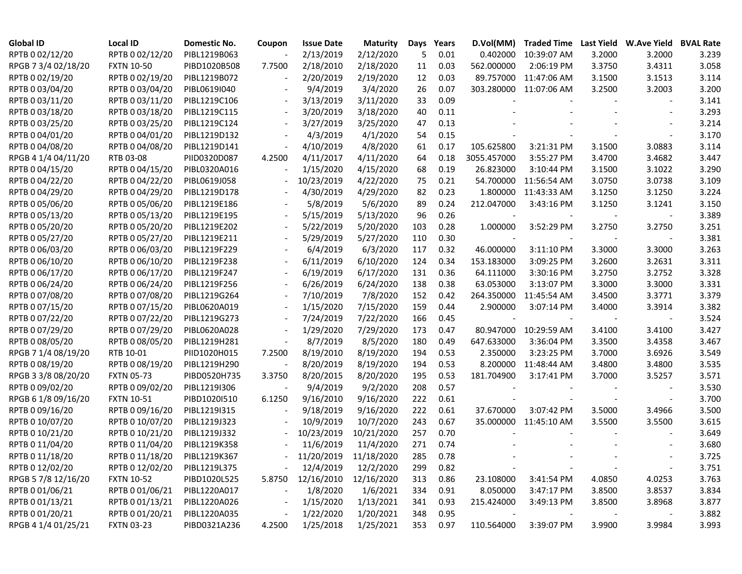| <b>Global ID</b>    | <b>Local ID</b>   | Domestic No. | Coupon                   | <b>Issue Date</b>          | <b>Maturity</b> | Days | Years | D.Vol(MM)   | <b>Traded Time</b>     |        | Last Yield W.Ave Yield BVAL Rate |       |
|---------------------|-------------------|--------------|--------------------------|----------------------------|-----------------|------|-------|-------------|------------------------|--------|----------------------------------|-------|
| RPTB 0 02/12/20     | RPTB 0 02/12/20   | PIBL1219B063 |                          | 2/13/2019                  | 2/12/2020       | 5    | 0.01  | 0.402000    | 10:39:07 AM            | 3.2000 | 3.2000                           | 3.239 |
| RPGB 7 3/4 02/18/20 | <b>FXTN 10-50</b> | PIBD1020B508 | 7.7500                   | 2/18/2010                  | 2/18/2020       | 11   | 0.03  | 562.000000  | 2:06:19 PM             | 3.3750 | 3.4311                           | 3.058 |
| RPTB 0 02/19/20     | RPTB 0 02/19/20   | PIBL1219B072 |                          | 2/20/2019                  | 2/19/2020       | 12   | 0.03  |             | 89.757000 11:47:06 AM  | 3.1500 | 3.1513                           | 3.114 |
| RPTB 0 03/04/20     | RPTB 0 03/04/20   | PIBL0619I040 |                          | 9/4/2019                   | 3/4/2020        | 26   | 0.07  |             | 303.280000 11:07:06 AM | 3.2500 | 3.2003                           | 3.200 |
| RPTB 0 03/11/20     | RPTB 0 03/11/20   | PIBL1219C106 |                          | 3/13/2019                  | 3/11/2020       | 33   | 0.09  |             |                        |        |                                  | 3.141 |
| RPTB 0 03/18/20     | RPTB 0 03/18/20   | PIBL1219C115 |                          | 3/20/2019                  | 3/18/2020       | 40   | 0.11  |             |                        |        |                                  | 3.293 |
| RPTB 0 03/25/20     | RPTB 0 03/25/20   | PIBL1219C124 | $\blacksquare$           | 3/27/2019                  | 3/25/2020       | 47   | 0.13  |             |                        |        |                                  | 3.214 |
| RPTB 0 04/01/20     | RPTB 0 04/01/20   | PIBL1219D132 |                          | 4/3/2019                   | 4/1/2020        | 54   | 0.15  |             |                        |        |                                  | 3.170 |
| RPTB 0 04/08/20     | RPTB 0 04/08/20   | PIBL1219D141 | $\blacksquare$           | 4/10/2019                  | 4/8/2020        | 61   | 0.17  | 105.625800  | 3:21:31 PM             | 3.1500 | 3.0883                           | 3.114 |
| RPGB 4 1/4 04/11/20 | RTB 03-08         | PIID0320D087 | 4.2500                   | 4/11/2017                  | 4/11/2020       | 64   | 0.18  | 3055.457000 | 3:55:27 PM             | 3.4700 | 3.4682                           | 3.447 |
| RPTB 0 04/15/20     | RPTB 0 04/15/20   | PIBL0320A016 | $\blacksquare$           | 1/15/2020                  | 4/15/2020       | 68   | 0.19  | 26.823000   | 3:10:44 PM             | 3.1500 | 3.1022                           | 3.290 |
| RPTB 0 04/22/20     | RPTB 0 04/22/20   | PIBL0619J058 |                          | 10/23/2019                 | 4/22/2020       | 75   | 0.21  | 54.700000   | 11:56:54 AM            | 3.0750 | 3.0738                           | 3.109 |
| RPTB 0 04/29/20     | RPTB 0 04/29/20   | PIBL1219D178 |                          | 4/30/2019                  | 4/29/2020       | 82   | 0.23  | 1.800000    | 11:43:33 AM            | 3.1250 | 3.1250                           | 3.224 |
| RPTB 0 05/06/20     | RPTB 0 05/06/20   | PIBL1219E186 |                          | 5/8/2019                   | 5/6/2020        | 89   | 0.24  | 212.047000  | 3:43:16 PM             | 3.1250 | 3.1241                           | 3.150 |
| RPTB 0 05/13/20     | RPTB 0 05/13/20   | PIBL1219E195 |                          | 5/15/2019                  | 5/13/2020       | 96   | 0.26  |             |                        |        |                                  | 3.389 |
| RPTB 0 05/20/20     | RPTB 0 05/20/20   | PIBL1219E202 |                          | 5/22/2019                  | 5/20/2020       | 103  | 0.28  | 1.000000    | 3:52:29 PM             | 3.2750 | 3.2750                           | 3.251 |
| RPTB 0 05/27/20     | RPTB 0 05/27/20   | PIBL1219E211 |                          | 5/29/2019                  | 5/27/2020       | 110  | 0.30  |             |                        |        |                                  | 3.381 |
| RPTB 0 06/03/20     | RPTB 0 06/03/20   | PIBL1219F229 |                          | 6/4/2019                   | 6/3/2020        | 117  | 0.32  | 46.000000   | 3:11:10 PM             | 3.3000 | 3.3000                           | 3.263 |
| RPTB 0 06/10/20     | RPTB 0 06/10/20   | PIBL1219F238 |                          | 6/11/2019                  | 6/10/2020       | 124  | 0.34  | 153.183000  | 3:09:25 PM             | 3.2600 | 3.2631                           | 3.311 |
| RPTB 0 06/17/20     | RPTB 0 06/17/20   | PIBL1219F247 |                          | 6/19/2019                  | 6/17/2020       | 131  | 0.36  | 64.111000   | 3:30:16 PM             | 3.2750 | 3.2752                           | 3.328 |
| RPTB 0 06/24/20     | RPTB 0 06/24/20   | PIBL1219F256 |                          | 6/26/2019                  | 6/24/2020       | 138  | 0.38  | 63.053000   | 3:13:07 PM             | 3.3000 | 3.3000                           | 3.331 |
| RPTB 0 07/08/20     | RPTB 0 07/08/20   | PIBL1219G264 |                          | 7/10/2019                  | 7/8/2020        | 152  | 0.42  | 264.350000  | 11:45:54 AM            | 3.4500 | 3.3771                           | 3.379 |
| RPTB 0 07/15/20     | RPTB 0 07/15/20   | PIBL0620A019 |                          | 1/15/2020                  | 7/15/2020       | 159  | 0.44  | 2.900000    | 3:07:14 PM             | 3.4000 | 3.3914                           | 3.382 |
| RPTB 0 07/22/20     | RPTB 0 07/22/20   | PIBL1219G273 |                          | 7/24/2019                  | 7/22/2020       | 166  | 0.45  |             |                        |        | $\overline{\phantom{a}}$         | 3.524 |
| RPTB 0 07/29/20     | RPTB 0 07/29/20   | PIBL0620A028 |                          | 1/29/2020                  | 7/29/2020       | 173  | 0.47  | 80.947000   | 10:29:59 AM            | 3.4100 | 3.4100                           | 3.427 |
| RPTB 0 08/05/20     | RPTB 0 08/05/20   | PIBL1219H281 | $\overline{\phantom{a}}$ | 8/7/2019                   | 8/5/2020        | 180  | 0.49  | 647.633000  | 3:36:04 PM             | 3.3500 | 3.4358                           | 3.467 |
| RPGB 7 1/4 08/19/20 | RTB 10-01         | PIID1020H015 | 7.2500                   | 8/19/2010                  | 8/19/2020       | 194  | 0.53  | 2.350000    | 3:23:25 PM             | 3.7000 | 3.6926                           | 3.549 |
| RPTB 0 08/19/20     | RPTB 0 08/19/20   | PIBL1219H290 |                          | 8/20/2019                  | 8/19/2020       | 194  | 0.53  | 8.200000    | 11:48:44 AM            | 3.4800 | 3.4800                           | 3.535 |
| RPGB 3 3/8 08/20/20 | <b>FXTN 05-73</b> | PIBD0520H735 | 3.3750                   | 8/20/2015                  | 8/20/2020       | 195  | 0.53  | 181.704900  | 3:17:41 PM             | 3.7000 | 3.5257                           | 3.571 |
| RPTB 0 09/02/20     | RPTB 0 09/02/20   | PIBL1219I306 |                          | 9/4/2019                   | 9/2/2020        | 208  | 0.57  |             |                        |        |                                  | 3.530 |
| RPGB 6 1/8 09/16/20 | <b>FXTN 10-51</b> | PIBD1020I510 | 6.1250                   | 9/16/2010                  | 9/16/2020       | 222  | 0.61  |             |                        |        |                                  | 3.700 |
| RPTB 0 09/16/20     | RPTB 0 09/16/20   | PIBL1219I315 |                          | 9/18/2019                  | 9/16/2020       | 222  | 0.61  | 37.670000   | 3:07:42 PM             | 3.5000 | 3.4966                           | 3.500 |
| RPTB 0 10/07/20     | RPTB 0 10/07/20   | PIBL1219J323 |                          | 10/9/2019                  | 10/7/2020       | 243  | 0.67  |             | 35.000000 11:45:10 AM  | 3.5500 | 3.5500                           | 3.615 |
| RPTB 0 10/21/20     | RPTB 0 10/21/20   | PIBL1219J332 | $\overline{\phantom{a}}$ | 10/23/2019                 | 10/21/2020      | 257  | 0.70  |             |                        |        |                                  | 3.649 |
| RPTB 0 11/04/20     | RPTB 0 11/04/20   | PIBL1219K358 | $\overline{\phantom{a}}$ | 11/6/2019                  | 11/4/2020       | 271  | 0.74  |             |                        |        |                                  | 3.680 |
| RPTB 0 11/18/20     | RPTB 0 11/18/20   | PIBL1219K367 |                          | $-11/20/2019$ $11/18/2020$ |                 | 285  | 0.78  |             |                        |        |                                  | 3.725 |
| RPTB 0 12/02/20     | RPTB 0 12/02/20   | PIBL1219L375 |                          | 12/4/2019                  | 12/2/2020       | 299  | 0.82  |             |                        |        |                                  | 3.751 |
| RPGB 5 7/8 12/16/20 | <b>FXTN 10-52</b> | PIBD1020L525 | 5.8750                   | 12/16/2010                 | 12/16/2020      | 313  | 0.86  | 23.108000   | 3:41:54 PM             | 4.0850 | 4.0253                           | 3.763 |
| RPTB 0 01/06/21     | RPTB 0 01/06/21   | PIBL1220A017 |                          | 1/8/2020                   | 1/6/2021        | 334  | 0.91  | 8.050000    | 3:47:17 PM             | 3.8500 | 3.8537                           | 3.834 |
| RPTB 0 01/13/21     | RPTB 0 01/13/21   | PIBL1220A026 | $\blacksquare$           | 1/15/2020                  | 1/13/2021       | 341  | 0.93  | 215.424000  | 3:49:13 PM             | 3.8500 | 3.8968                           | 3.877 |
| RPTB 0 01/20/21     | RPTB 0 01/20/21   | PIBL1220A035 | $\blacksquare$           | 1/22/2020                  | 1/20/2021       | 348  | 0.95  |             |                        |        | $\overline{\phantom{a}}$         | 3.882 |
| RPGB 4 1/4 01/25/21 | <b>FXTN 03-23</b> | PIBD0321A236 | 4.2500                   | 1/25/2018                  | 1/25/2021       | 353  | 0.97  | 110.564000  | 3:39:07 PM             | 3.9900 | 3.9984                           | 3.993 |
|                     |                   |              |                          |                            |                 |      |       |             |                        |        |                                  |       |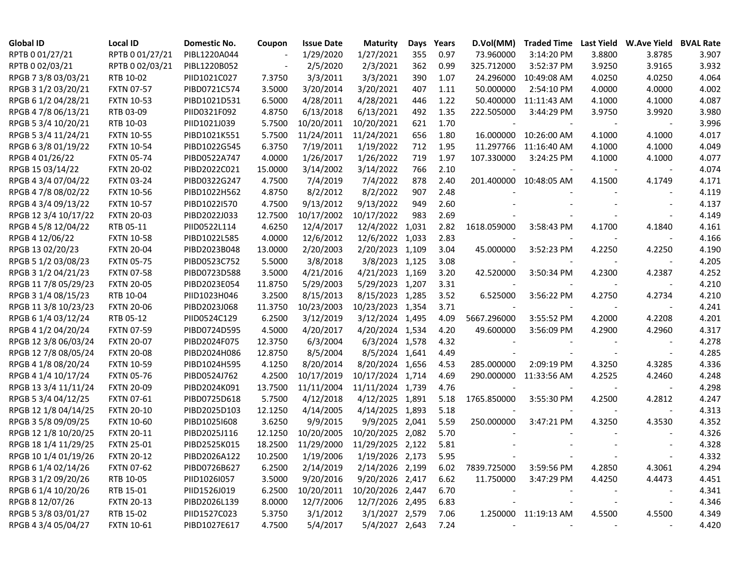| <b>Global ID</b>     | <b>Local ID</b>   | Domestic No. | Coupon  | <b>Issue Date</b> | <b>Maturity</b>  | Days  | Years | D.Vol(MM)   | <b>Traded Time</b>     |        | Last Yield W.Ave Yield BVAL Rate |       |
|----------------------|-------------------|--------------|---------|-------------------|------------------|-------|-------|-------------|------------------------|--------|----------------------------------|-------|
| RPTB 0 01/27/21      | RPTB 0 01/27/21   | PIBL1220A044 |         | 1/29/2020         | 1/27/2021        | 355   | 0.97  | 73.960000   | 3:14:20 PM             | 3.8800 | 3.8785                           | 3.907 |
| RPTB 0 02/03/21      | RPTB 0 02/03/21   | PIBL1220B052 |         | 2/5/2020          | 2/3/2021         | 362   | 0.99  | 325.712000  | 3:52:37 PM             | 3.9250 | 3.9165                           | 3.932 |
| RPGB 7 3/8 03/03/21  | RTB 10-02         | PIID1021C027 | 7.3750  | 3/3/2011          | 3/3/2021         | 390   | 1.07  | 24.296000   | 10:49:08 AM            | 4.0250 | 4.0250                           | 4.064 |
| RPGB 3 1/2 03/20/21  | <b>FXTN 07-57</b> | PIBD0721C574 | 3.5000  | 3/20/2014         | 3/20/2021        | 407   | 1.11  | 50.000000   | 2:54:10 PM             | 4.0000 | 4.0000                           | 4.002 |
| RPGB 6 1/2 04/28/21  | <b>FXTN 10-53</b> | PIBD1021D531 | 6.5000  | 4/28/2011         | 4/28/2021        | 446   | 1.22  | 50.400000   | 11:11:43 AM            | 4.1000 | 4.1000                           | 4.087 |
| RPGB 4 7/8 06/13/21  | RTB 03-09         | PIID0321F092 | 4.8750  | 6/13/2018         | 6/13/2021        | 492   | 1.35  | 222.505000  | 3:44:29 PM             | 3.9750 | 3.9920                           | 3.980 |
| RPGB 5 3/4 10/20/21  | RTB 10-03         | PIID1021J039 | 5.7500  | 10/20/2011        | 10/20/2021       | 621   | 1.70  |             |                        |        |                                  | 3.996 |
| RPGB 5 3/4 11/24/21  | <b>FXTN 10-55</b> | PIBD1021K551 | 5.7500  | 11/24/2011        | 11/24/2021       | 656   | 1.80  | 16.000000   | 10:26:00 AM            | 4.1000 | 4.1000                           | 4.017 |
| RPGB 6 3/8 01/19/22  | <b>FXTN 10-54</b> | PIBD1022G545 | 6.3750  | 7/19/2011         | 1/19/2022        | 712   | 1.95  | 11.297766   | 11:16:40 AM            | 4.1000 | 4.1000                           | 4.049 |
| RPGB 4 01/26/22      | <b>FXTN 05-74</b> | PIBD0522A747 | 4.0000  | 1/26/2017         | 1/26/2022        | 719   | 1.97  | 107.330000  | 3:24:25 PM             | 4.1000 | 4.1000                           | 4.077 |
| RPGB 15 03/14/22     | <b>FXTN 20-02</b> | PIBD2022C021 | 15.0000 | 3/14/2002         | 3/14/2022        | 766   | 2.10  |             |                        |        | $\overline{\phantom{a}}$         | 4.074 |
| RPGB 4 3/4 07/04/22  | <b>FXTN 03-24</b> | PIBD0322G247 | 4.7500  | 7/4/2019          | 7/4/2022         | 878   | 2.40  |             | 201.400000 10:48:05 AM | 4.1500 | 4.1749                           | 4.171 |
| RPGB 4 7/8 08/02/22  | <b>FXTN 10-56</b> | PIBD1022H562 | 4.8750  | 8/2/2012          | 8/2/2022         | 907   | 2.48  |             |                        |        |                                  | 4.119 |
| RPGB 4 3/4 09/13/22  | <b>FXTN 10-57</b> | PIBD1022I570 | 4.7500  | 9/13/2012         | 9/13/2022        | 949   | 2.60  |             |                        |        |                                  | 4.137 |
| RPGB 12 3/4 10/17/22 | <b>FXTN 20-03</b> | PIBD2022J033 | 12.7500 | 10/17/2002        | 10/17/2022       | 983   | 2.69  |             |                        |        |                                  | 4.149 |
| RPGB 4 5/8 12/04/22  | RTB 05-11         | PIID0522L114 | 4.6250  | 12/4/2017         | 12/4/2022        | 1,031 | 2.82  | 1618.059000 | 3:58:43 PM             | 4.1700 | 4.1840                           | 4.161 |
| RPGB 4 12/06/22      | <b>FXTN 10-58</b> | PIBD1022L585 | 4.0000  | 12/6/2012         | 12/6/2022 1,033  |       | 2.83  |             |                        |        |                                  | 4.166 |
| RPGB 13 02/20/23     | <b>FXTN 20-04</b> | PIBD2023B048 | 13.0000 | 2/20/2003         | 2/20/2023 1,109  |       | 3.04  | 45.000000   | 3:52:23 PM             | 4.2250 | 4.2250                           | 4.190 |
| RPGB 5 1/2 03/08/23  | <b>FXTN 05-75</b> | PIBD0523C752 | 5.5000  | 3/8/2018          | 3/8/2023 1,125   |       | 3.08  |             |                        |        |                                  | 4.205 |
| RPGB 3 1/2 04/21/23  | <b>FXTN 07-58</b> | PIBD0723D588 | 3.5000  | 4/21/2016         | 4/21/2023 1,169  |       | 3.20  | 42.520000   | 3:50:34 PM             | 4.2300 | 4.2387                           | 4.252 |
| RPGB 117/8 05/29/23  | <b>FXTN 20-05</b> | PIBD2023E054 | 11.8750 | 5/29/2003         | 5/29/2023 1,207  |       | 3.31  |             |                        |        |                                  | 4.210 |
| RPGB 3 1/4 08/15/23  | RTB 10-04         | PIID1023H046 | 3.2500  | 8/15/2013         | 8/15/2023 1,285  |       | 3.52  | 6.525000    | 3:56:22 PM             | 4.2750 | 4.2734                           | 4.210 |
| RPGB 11 3/8 10/23/23 | <b>FXTN 20-06</b> | PIBD2023J068 | 11.3750 | 10/23/2003        | 10/23/2023 1,354 |       | 3.71  |             |                        |        |                                  | 4.241 |
| RPGB 6 1/4 03/12/24  | RTB 05-12         | PIID0524C129 | 6.2500  | 3/12/2019         | 3/12/2024 1,495  |       | 4.09  | 5667.296000 | 3:55:52 PM             | 4.2000 | 4.2208                           | 4.201 |
| RPGB 4 1/2 04/20/24  | <b>FXTN 07-59</b> | PIBD0724D595 | 4.5000  | 4/20/2017         | 4/20/2024 1,534  |       | 4.20  | 49.600000   | 3:56:09 PM             | 4.2900 | 4.2960                           | 4.317 |
| RPGB 12 3/8 06/03/24 | <b>FXTN 20-07</b> | PIBD2024F075 | 12.3750 | 6/3/2004          | 6/3/2024 1,578   |       | 4.32  |             |                        |        |                                  | 4.278 |
| RPGB 12 7/8 08/05/24 | <b>FXTN 20-08</b> | PIBD2024H086 | 12.8750 | 8/5/2004          | 8/5/2024 1,641   |       | 4.49  |             |                        |        |                                  | 4.285 |
| RPGB 4 1/8 08/20/24  | <b>FXTN 10-59</b> | PIBD1024H595 | 4.1250  | 8/20/2014         | 8/20/2024 1,656  |       | 4.53  | 285.000000  | 2:09:19 PM             | 4.3250 | 4.3285                           | 4.336 |
| RPGB 4 1/4 10/17/24  | <b>FXTN 05-76</b> | PIBD0524J762 | 4.2500  | 10/17/2019        | 10/17/2024 1,714 |       | 4.69  | 290.000000  | 11:33:56 AM            | 4.2525 | 4.2460                           | 4.248 |
| RPGB 13 3/4 11/11/24 | <b>FXTN 20-09</b> | PIBD2024K091 | 13.7500 | 11/11/2004        | 11/11/2024 1,739 |       | 4.76  |             |                        |        |                                  | 4.298 |
| RPGB 5 3/4 04/12/25  | <b>FXTN 07-61</b> | PIBD0725D618 | 5.7500  | 4/12/2018         | 4/12/2025 1,891  |       | 5.18  | 1765.850000 | 3:55:30 PM             | 4.2500 | 4.2812                           | 4.247 |
| RPGB 12 1/8 04/14/25 | <b>FXTN 20-10</b> | PIBD2025D103 | 12.1250 | 4/14/2005         | 4/14/2025 1,893  |       | 5.18  |             |                        |        | $\overline{\phantom{a}}$         | 4.313 |
| RPGB 3 5/8 09/09/25  | <b>FXTN 10-60</b> | PIBD1025I608 | 3.6250  | 9/9/2015          | 9/9/2025 2,041   |       | 5.59  | 250.000000  | 3:47:21 PM             | 4.3250 | 4.3530                           | 4.352 |
| RPGB 12 1/8 10/20/25 | <b>FXTN 20-11</b> | PIBD2025J116 | 12.1250 | 10/20/2005        | 10/20/2025 2,082 |       | 5.70  |             |                        |        |                                  | 4.326 |
| RPGB 18 1/4 11/29/25 | <b>FXTN 25-01</b> | PIBD2525K015 | 18.2500 | 11/29/2000        | 11/29/2025 2,122 |       | 5.81  |             |                        |        |                                  | 4.328 |
| RPGB 10 1/4 01/19/26 | <b>FXTN 20-12</b> | PIBD2026A122 | 10.2500 | 1/19/2006         | 1/19/2026 2,173  |       | 5.95  |             |                        |        |                                  | 4.332 |
| RPGB 6 1/4 02/14/26  | <b>FXTN 07-62</b> | PIBD0726B627 | 6.2500  | 2/14/2019         | 2/14/2026 2,199  |       | 6.02  | 7839.725000 | 3:59:56 PM             | 4.2850 | 4.3061                           | 4.294 |
| RPGB 3 1/2 09/20/26  | RTB 10-05         | PIID1026I057 | 3.5000  | 9/20/2016         | 9/20/2026 2,417  |       | 6.62  | 11.750000   | 3:47:29 PM             | 4.4250 | 4.4473                           | 4.451 |
| RPGB 6 1/4 10/20/26  | RTB 15-01         | PIID1526J019 | 6.2500  | 10/20/2011        | 10/20/2026 2,447 |       | 6.70  |             |                        |        | $\overline{\phantom{a}}$         | 4.341 |
| RPGB 8 12/07/26      | <b>FXTN 20-13</b> | PIBD2026L139 | 8.0000  | 12/7/2006         | 12/7/2026 2,495  |       | 6.83  |             |                        |        | $\overline{\phantom{a}}$         | 4.346 |
| RPGB 5 3/8 03/01/27  | RTB 15-02         | PIID1527C023 | 5.3750  | 3/1/2012          | 3/1/2027 2,579   |       | 7.06  |             | 1.250000 11:19:13 AM   | 4.5500 | 4.5500                           | 4.349 |
| RPGB 4 3/4 05/04/27  | <b>FXTN 10-61</b> | PIBD1027E617 | 4.7500  | 5/4/2017          | 5/4/2027 2,643   |       | 7.24  |             |                        |        |                                  | 4.420 |